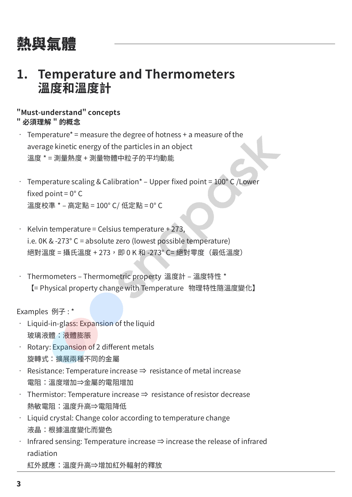# 熱與氣體

## **1. Temperature and Thermometers 溫度和溫度計**

### **"Must-understand" concepts " 必須理解 " 的概念**

- $\cdot$  Temperature<sup>\*</sup> = measure the degree of hotness + a measure of the average kinetic energy of the particles in an object 溫度 \* = 測量熱度 + 測量物體中粒子的平均動能
- Temperature scaling & Calibration\* Upper fixed point = 100° C /Lower fixed point =  $0^{\circ}$  C 溫度校準 \* – 高定點 = 100° C/ 低定點 = 0° C
- Kelvin temperature = Celsius temperature + 273, i.e. 0K & -273° C = absolute zero (lowest possible temperature) 絕對溫度 = 攝氏溫度 + 273, 即 0 K 和 -273° C= 絕對零度 (最低溫度)
- Thermometers Thermometric property 溫度計 溫度特性 \* 【= Physical property change with Temperature 物理特性隨溫度變化】

Examples 例子 : \*

- $\cdot$  Liquid-in-glass: Expansion of the liquid 玻璃液體:液體膨脹
- Rotary: Expansion of 2 different metals 旋轉式:擴展兩種不同的金屬
- Resistance: Temperature increase  $\Rightarrow$  resistance of metal increase 電阻:溫度增加⇒金屬的電阻增加
- Thermistor: Temperature increase ⇒ resistance of resistor decrease 熱敏電阻:溫度升高⇒電阻降低
- Liquid crystal: Change color according to temperature change 液晶:根據溫度變化而變色
- Infrared sensing: Temperature increase ⇒ increase the release of infrared radiation

紅外感應:溫度升高⇒增加紅外輻射的釋放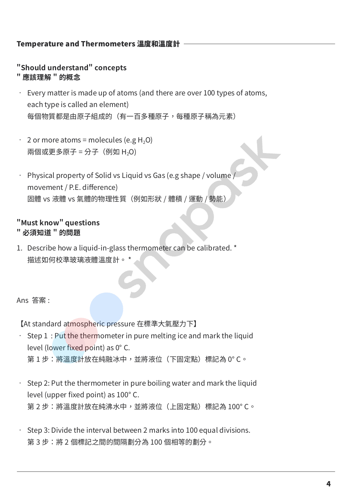### Temperature and Thermometers 溫度和溫度計

### **"Should understand" concepts**

### **" 應該理解 " 的概念**

- Every matter is made up of atoms (and there are over 100 types of atoms, each type is called an element) 每個物質都是由原子組成的(有一百多種原子,每種原子稱為元素)
- $\cdot$  2 or more atoms = molecules (e.g H<sub>2</sub>O) 兩個或更多原子 = 分子 (例如 H<sub>2</sub>O)
- Physical property of Solid vs Liquid vs Gas (e.g shape / volume / movement / P.E. difference) 固體 vs 液體 vs 氣體的物理性質(例如形狀 / 體積 / 運動 / 勢能)

#### **"Must know" questions " 必須知道 " 的問題**

1. Describe how a liquid-in-glass thermometer can be calibrated. \* 描述如何校準玻璃液體溫度計。 \*

Ans 答案 :

【At standard atmospheric pressure 在標準大氣壓力下】

- Step 1 : Put the thermometer in pure melting ice and mark the liquid level (lower fixed point) as 0° C. 第 1 步:將溫度計放在純融冰中,並將液位(下固定點)標記為 0°C。
- Step 2: Put the thermometer in pure boiling water and mark the liquid level (upper fixed point) as 100° C. 第 2 步:將溫度計放在純沸水中,並將液位(上固定點)標記為 100° C。
- Step 3: Divide the interval between 2 marks into 100 equal divisions. 第 3 步:將 2 個標記之間的間隔劃分為 100 個相等的劃分。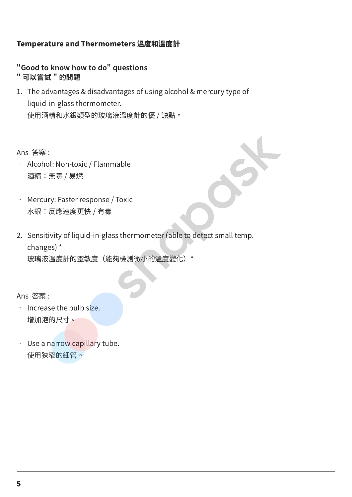### Temperature and Thermometers 溫度和溫度計

**"Good to know how to do" questions " 可以嘗試 " 的問題**

1. The advantages & disadvantages of using alcohol & mercury type of liquid-in-glass thermometer. 使用酒精和水銀類型的玻璃液溫度計的優 / 缺點。

Ans 答案 :

- Alcohol: Non-toxic / Flammable 酒精:無毒 / 易燃
- Mercury: Faster response / Toxic 水銀:反應速度更快 / 有毒
- 2. Sensitivity of liquid-in-glass thermometer (able to detect small temp. changes) \* 玻璃液溫度計的靈敏度(能夠檢測微小的溫度變化)\*

Ans 答案 :

- Increase the bulb size. 增加泡的尺寸。
- Use a narrow capillary tube. 使用狹窄的細管。